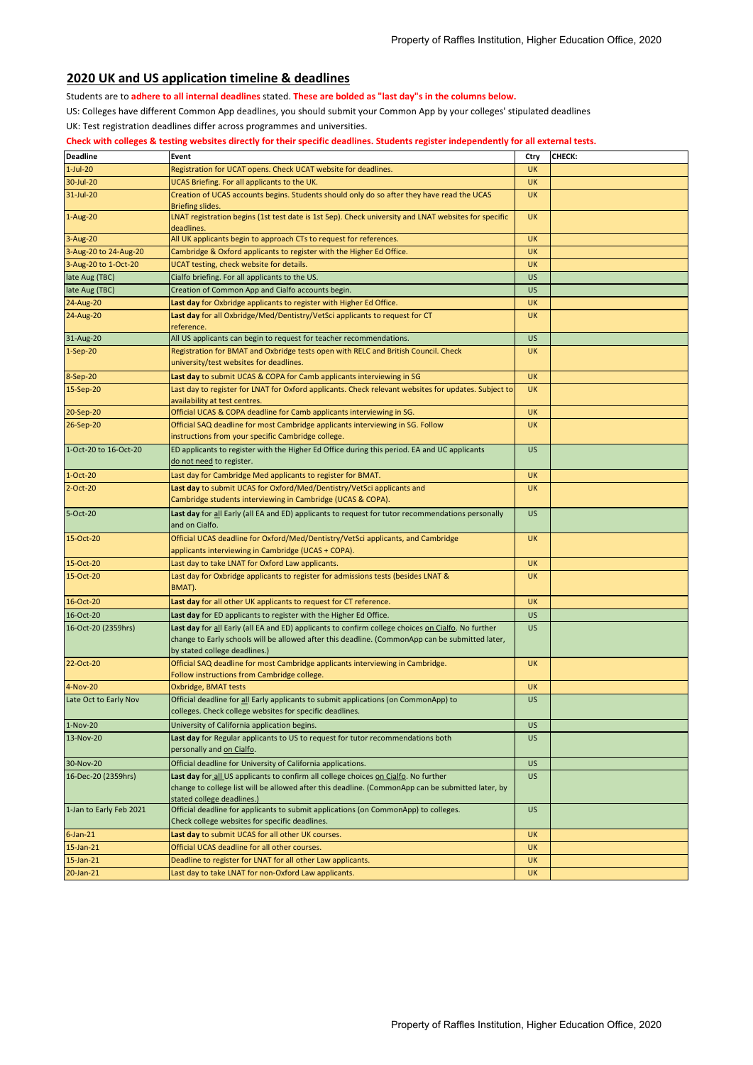## **2020 UK and US application timeline & deadlines**

Students are to **adhere to all internal deadlines** stated. **These are bolded as "last day"s in the columns below.** 

US: Colleges have different Common App deadlines, you should submit your Common App by your colleges' stipulated deadlines

UK: Test registration deadlines differ across programmes and universities.

## **Check with colleges & testing websites directly for their specific deadlines. Students register independently for all external tests.**

| <b>Deadline</b>         | Event                                                                                                                                                                                                                                  | Ctry      | CHECK: |
|-------------------------|----------------------------------------------------------------------------------------------------------------------------------------------------------------------------------------------------------------------------------------|-----------|--------|
| $1-Jul-20$              | Registration for UCAT opens. Check UCAT website for deadlines.                                                                                                                                                                         | UK        |        |
| 30-Jul-20               | UCAS Briefing. For all applicants to the UK.                                                                                                                                                                                           | <b>UK</b> |        |
| 31-Jul-20               | Creation of UCAS accounts begins. Students should only do so after they have read the UCAS                                                                                                                                             | UK        |        |
| 1-Aug-20                | <b>Briefing slides.</b><br>LNAT registration begins (1st test date is 1st Sep). Check university and LNAT websites for specific<br>deadlines.                                                                                          | <b>UK</b> |        |
| 3-Aug-20                | All UK applicants begin to approach CTs to request for references.                                                                                                                                                                     | <b>UK</b> |        |
| 3-Aug-20 to 24-Aug-20   | Cambridge & Oxford applicants to register with the Higher Ed Office.                                                                                                                                                                   | <b>UK</b> |        |
| 3-Aug-20 to 1-Oct-20    | UCAT testing, check website for details.                                                                                                                                                                                               | <b>UK</b> |        |
| late Aug (TBC)          | Cialfo briefing. For all applicants to the US.                                                                                                                                                                                         | <b>US</b> |        |
| late Aug (TBC)          | Creation of Common App and Cialfo accounts begin.                                                                                                                                                                                      | <b>US</b> |        |
| 24-Aug-20               | Last day for Oxbridge applicants to register with Higher Ed Office.                                                                                                                                                                    | UK        |        |
| 24-Aug-20               | Last day for all Oxbridge/Med/Dentistry/VetSci applicants to request for CT<br>reference.                                                                                                                                              | <b>UK</b> |        |
| 31-Aug-20               | All US applicants can begin to request for teacher recommendations.                                                                                                                                                                    | <b>US</b> |        |
| $1-Sep-20$              | Registration for BMAT and Oxbridge tests open with RELC and British Council. Check<br>university/test websites for deadlines.                                                                                                          | <b>UK</b> |        |
| 8-Sep-20                | Last day to submit UCAS & COPA for Camb applicants interviewing in SG                                                                                                                                                                  | <b>UK</b> |        |
| 15-Sep-20               | Last day to register for LNAT for Oxford applicants. Check relevant websites for updates. Subject to<br>availability at test centres.                                                                                                  | <b>UK</b> |        |
| 20-Sep-20               | Official UCAS & COPA deadline for Camb applicants interviewing in SG.                                                                                                                                                                  | <b>UK</b> |        |
| 26-Sep-20               | Official SAQ deadline for most Cambridge applicants interviewing in SG. Follow<br>instructions from your specific Cambridge college.                                                                                                   | <b>UK</b> |        |
| 1-Oct-20 to 16-Oct-20   | ED applicants to register with the Higher Ed Office during this period. EA and UC applicants<br>do not need to register.                                                                                                               | <b>US</b> |        |
| $1-Oct-20$              | Last day for Cambridge Med applicants to register for BMAT.                                                                                                                                                                            | <b>UK</b> |        |
| 2-Oct-20                | Last day to submit UCAS for Oxford/Med/Dentistry/VetSci applicants and<br>Cambridge students interviewing in Cambridge (UCAS & COPA).                                                                                                  | <b>UK</b> |        |
| 5-Oct-20                | Last day for all Early (all EA and ED) applicants to request for tutor recommendations personally<br>and on Cialfo.                                                                                                                    | <b>US</b> |        |
| 15-Oct-20               | Official UCAS deadline for Oxford/Med/Dentistry/VetSci applicants, and Cambridge<br>applicants interviewing in Cambridge (UCAS + COPA).                                                                                                | <b>UK</b> |        |
| 15-Oct-20               | Last day to take LNAT for Oxford Law applicants.                                                                                                                                                                                       | <b>UK</b> |        |
| 15-Oct-20               | Last day for Oxbridge applicants to register for admissions tests (besides LNAT &<br>BMAT).                                                                                                                                            | <b>UK</b> |        |
| 16-Oct-20               | Last day for all other UK applicants to request for CT reference.                                                                                                                                                                      | UK        |        |
| 16-Oct-20               | Last day for ED applicants to register with the Higher Ed Office.                                                                                                                                                                      | <b>US</b> |        |
| 16-Oct-20 (2359hrs)     | Last day for all Early (all EA and ED) applicants to confirm college choices on Cialfo. No further<br>change to Early schools will be allowed after this deadline. (CommonApp can be submitted later,<br>by stated college deadlines.) | <b>US</b> |        |
| 22-Oct-20               | Official SAQ deadline for most Cambridge applicants interviewing in Cambridge.<br>Follow instructions from Cambridge college.                                                                                                          | UK        |        |
| 4-Nov-20                | Oxbridge, BMAT tests                                                                                                                                                                                                                   | <b>UK</b> |        |
| Late Oct to Early Nov   | Official deadline for all Early applicants to submit applications (on CommonApp) to<br>colleges. Check college websites for specific deadlines.                                                                                        | <b>US</b> |        |
| 1-Nov-20                | University of California application begins.                                                                                                                                                                                           | <b>US</b> |        |
| 13-Nov-20               | Last day for Regular applicants to US to request for tutor recommendations both<br>personally and on Cialfo.                                                                                                                           | <b>US</b> |        |
| 30-Nov-20               | Official deadline for University of California applications.                                                                                                                                                                           | <b>US</b> |        |
| 16-Dec-20 (2359hrs)     | Last day for all US applicants to confirm all college choices on Cialfo. No further<br>change to college list will be allowed after this deadline. (CommonApp can be submitted later, by<br>stated college deadlines.)                 | <b>US</b> |        |
| 1-Jan to Early Feb 2021 | Official deadline for applicants to submit applications (on CommonApp) to colleges.<br>Check college websites for specific deadlines.                                                                                                  | US        |        |
| $6$ -Jan-21             | Last day to submit UCAS for all other UK courses.                                                                                                                                                                                      | UK        |        |
| 15-Jan-21               | Official UCAS deadline for all other courses.                                                                                                                                                                                          | UK        |        |
| $15$ -Jan-21            | Deadline to register for LNAT for all other Law applicants.                                                                                                                                                                            | <b>UK</b> |        |
| 20-Jan-21               | Last day to take LNAT for non-Oxford Law applicants.                                                                                                                                                                                   | UK        |        |
|                         |                                                                                                                                                                                                                                        |           |        |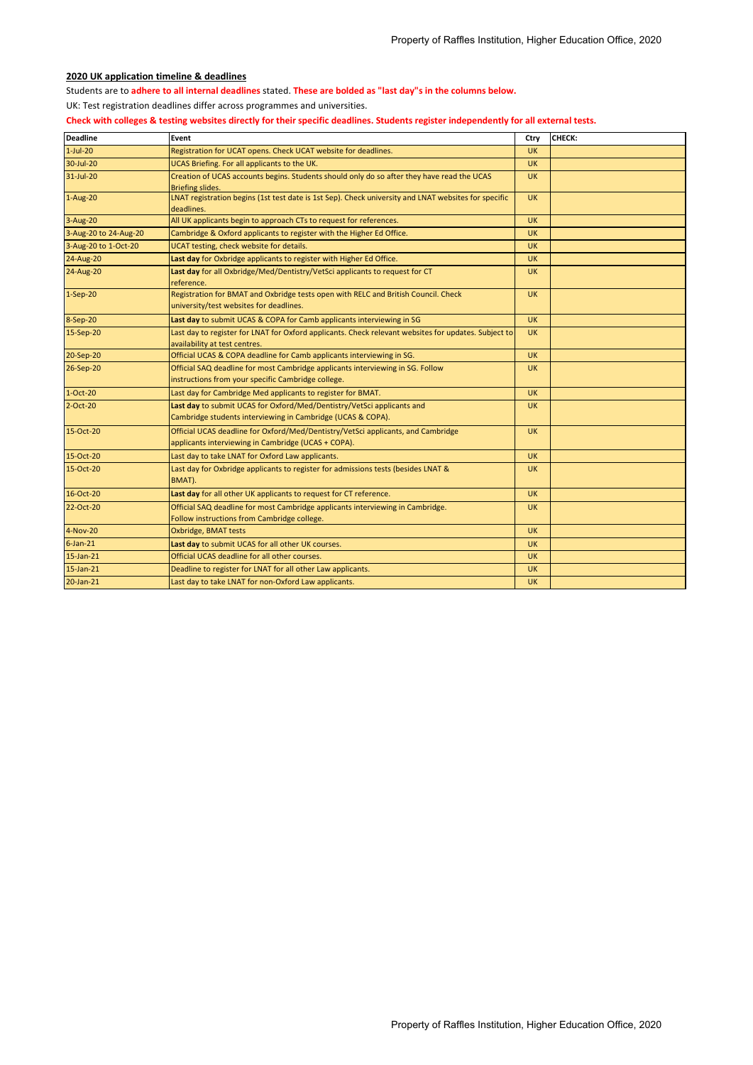## **2020 UK application timeline & deadlines**

Students are to **adhere to all internal deadlines** stated. **These are bolded as "last day"s in the columns below.** 

UK: Test registration deadlines differ across programmes and universities.

**Check with colleges & testing websites directly for their specific deadlines. Students register independently for all external tests.**

| <b>Deadline</b>       | Event                                                                                                                                 | Ctry      | CHECK: |
|-----------------------|---------------------------------------------------------------------------------------------------------------------------------------|-----------|--------|
| $1$ -Jul-20           | Registration for UCAT opens. Check UCAT website for deadlines.                                                                        | <b>UK</b> |        |
| 30-Jul-20             | UCAS Briefing. For all applicants to the UK.                                                                                          | <b>UK</b> |        |
| 31-Jul-20             | Creation of UCAS accounts begins. Students should only do so after they have read the UCAS                                            | <b>UK</b> |        |
|                       | <b>Briefing slides.</b>                                                                                                               |           |        |
| $1-Aug-20$            | LNAT registration begins (1st test date is 1st Sep). Check university and LNAT websites for specific<br>deadlines.                    | <b>UK</b> |        |
| 3-Aug-20              | All UK applicants begin to approach CTs to request for references.                                                                    | <b>UK</b> |        |
| 3-Aug-20 to 24-Aug-20 | Cambridge & Oxford applicants to register with the Higher Ed Office.                                                                  | <b>UK</b> |        |
| 3-Aug-20 to 1-Oct-20  | UCAT testing, check website for details.                                                                                              | <b>UK</b> |        |
| 24-Aug-20             | Last day for Oxbridge applicants to register with Higher Ed Office.                                                                   | <b>UK</b> |        |
| 24-Aug-20             | Last day for all Oxbridge/Med/Dentistry/VetSci applicants to request for CT<br>reference.                                             | <b>UK</b> |        |
| $1-Sep-20$            | Registration for BMAT and Oxbridge tests open with RELC and British Council. Check<br>university/test websites for deadlines.         | <b>UK</b> |        |
| 8-Sep-20              | Last day to submit UCAS & COPA for Camb applicants interviewing in SG                                                                 | <b>UK</b> |        |
| 15-Sep-20             | Last day to register for LNAT for Oxford applicants. Check relevant websites for updates. Subject to<br>availability at test centres. | <b>UK</b> |        |
| 20-Sep-20             | Official UCAS & COPA deadline for Camb applicants interviewing in SG.                                                                 | <b>UK</b> |        |
| 26-Sep-20             | Official SAQ deadline for most Cambridge applicants interviewing in SG. Follow<br>instructions from your specific Cambridge college.  | <b>UK</b> |        |
| $1-Oct-20$            | Last day for Cambridge Med applicants to register for BMAT.                                                                           | <b>UK</b> |        |
| $2$ -Oct-20           | Last day to submit UCAS for Oxford/Med/Dentistry/VetSci applicants and                                                                | <b>UK</b> |        |
|                       | Cambridge students interviewing in Cambridge (UCAS & COPA).                                                                           |           |        |
| 15-Oct-20             | Official UCAS deadline for Oxford/Med/Dentistry/VetSci applicants, and Cambridge                                                      | <b>UK</b> |        |
|                       | applicants interviewing in Cambridge (UCAS + COPA).                                                                                   |           |        |
| 15-Oct-20             | Last day to take LNAT for Oxford Law applicants.                                                                                      | <b>UK</b> |        |
| 15-Oct-20             | Last day for Oxbridge applicants to register for admissions tests (besides LNAT &<br>BMAT).                                           | <b>UK</b> |        |
| 16-Oct-20             | Last day for all other UK applicants to request for CT reference.                                                                     | <b>UK</b> |        |
| 22-Oct-20             | Official SAQ deadline for most Cambridge applicants interviewing in Cambridge.                                                        | <b>UK</b> |        |
|                       | Follow instructions from Cambridge college.                                                                                           |           |        |
| 4-Nov-20              | Oxbridge, BMAT tests                                                                                                                  | <b>UK</b> |        |
| $6$ -Jan-21           | Last day to submit UCAS for all other UK courses.                                                                                     | <b>UK</b> |        |
| $15$ -Jan- $21$       | Official UCAS deadline for all other courses.                                                                                         | <b>UK</b> |        |
| $15$ -Jan-21          | Deadline to register for LNAT for all other Law applicants.                                                                           | <b>UK</b> |        |
| 20-Jan-21             | Last day to take LNAT for non-Oxford Law applicants.                                                                                  | <b>UK</b> |        |